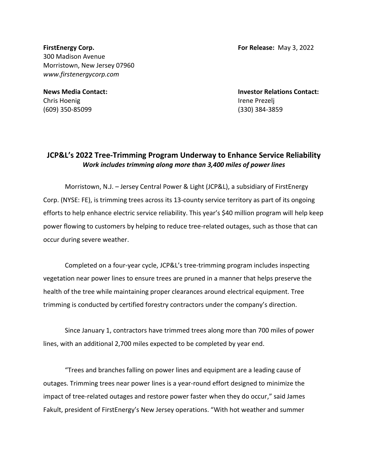**FirstEnergy Corp. For Release:** May 3, 2022 300 Madison Avenue Morristown, New Jersey 07960 *www.firstenergycorp.com*

Chris Hoenig **Irene Prezelj** (609) 350-85099 (330) 384-3859

**News Media Contact: Investor Relations Contact:**

## **JCP&L's 2022 Tree-Trimming Program Underway to Enhance Service Reliability** *Work includes trimming along more than 3,400 miles of power lines*

Morristown, N.J. – Jersey Central Power & Light (JCP&L), a subsidiary of FirstEnergy Corp. (NYSE: FE), is trimming trees across its 13-county service territory as part of its ongoing efforts to help enhance electric service reliability. This year's \$40 million program will help keep power flowing to customers by helping to reduce tree-related outages, such as those that can occur during severe weather.

Completed on a four-year cycle, JCP&L's tree-trimming program includes inspecting vegetation near power lines to ensure trees are pruned in a manner that helps preserve the health of the tree while maintaining proper clearances around electrical equipment. Tree trimming is conducted by certified forestry contractors under the company's direction.

Since January 1, contractors have trimmed trees along more than 700 miles of power lines, with an additional 2,700 miles expected to be completed by year end.

"Trees and branches falling on power lines and equipment are a leading cause of outages. Trimming trees near power lines is a year-round effort designed to minimize the impact of tree-related outages and restore power faster when they do occur," said James Fakult, president of FirstEnergy's New Jersey operations. "With hot weather and summer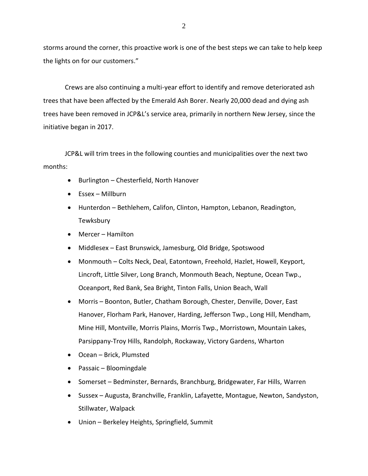storms around the corner, this proactive work is one of the best steps we can take to help keep the lights on for our customers."

Crews are also continuing a multi-year effort to identify and remove deteriorated ash trees that have been affected by the Emerald Ash Borer. Nearly 20,000 dead and dying ash trees have been removed in JCP&L's service area, primarily in northern New Jersey, since the initiative began in 2017.

JCP&L will trim trees in the following counties and municipalities over the next two months:

- Burlington Chesterfield, North Hanover
- Essex Millburn
- Hunterdon Bethlehem, Califon, Clinton, Hampton, Lebanon, Readington, Tewksbury
- Mercer Hamilton
- Middlesex East Brunswick, Jamesburg, Old Bridge, Spotswood
- Monmouth Colts Neck, Deal, Eatontown, Freehold, Hazlet, Howell, Keyport, Lincroft, Little Silver, Long Branch, Monmouth Beach, Neptune, Ocean Twp., Oceanport, Red Bank, Sea Bright, Tinton Falls, Union Beach, Wall
- Morris Boonton, Butler, Chatham Borough, Chester, Denville, Dover, East Hanover, Florham Park, Hanover, Harding, Jefferson Twp., Long Hill, Mendham, Mine Hill, Montville, Morris Plains, Morris Twp., Morristown, Mountain Lakes, Parsippany-Troy Hills, Randolph, Rockaway, Victory Gardens, Wharton
- Ocean Brick, Plumsted
- Passaic Bloomingdale
- Somerset Bedminster, Bernards, Branchburg, Bridgewater, Far Hills, Warren
- Sussex Augusta, Branchville, Franklin, Lafayette, Montague, Newton, Sandyston, Stillwater, Walpack
- Union Berkeley Heights, Springfield, Summit